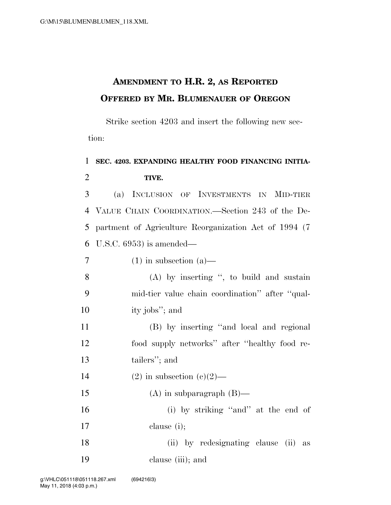## **AMENDMENT TO H.R. 2, AS REPORTED OFFERED BY MR. BLUMENAUER OF OREGON**

Strike section 4203 and insert the following new section:

## 1 **SEC. 4203. EXPANDING HEALTHY FOOD FINANCING INITIA-**2 **TIVE.**

 (a) INCLUSION OF INVESTMENTS IN MID-TIER VALUE CHAIN COORDINATION.—Section 243 of the De- partment of Agriculture Reorganization Act of 1994 (7 U.S.C. 6953) is amended—

 $7 \t(1)$  in subsection (a)

8 (A) by inserting '', to build and sustain 9 mid-tier value chain coordination'' after ''qual-10 ity jobs''; and

11 (B) by inserting ''and local and regional 12 food supply networks'' after ''healthy food re-13 tailers''; and

14 (2) in subsection  $(c)(2)$ —

15  $(A)$  in subparagraph  $(B)$ —

16 (i) by striking "and" at the end of 17 clause (i);

18 (ii) by redesignating clause (ii) as 19 clause (iii); and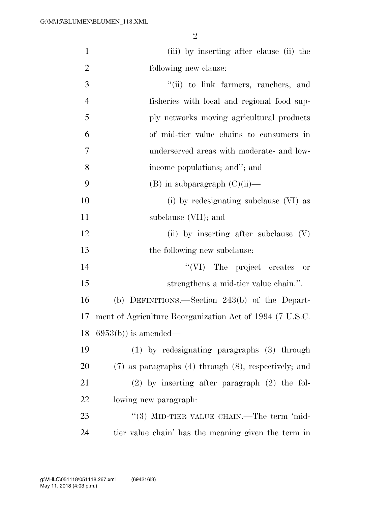| $\mathbf{1}$   | (iii) by inserting after clause (ii) the                    |
|----------------|-------------------------------------------------------------|
| $\overline{2}$ | following new clause:                                       |
| 3              | "(ii) to link farmers, ranchers, and                        |
| $\overline{4}$ | fisheries with local and regional food sup-                 |
| 5              | ply networks moving agricultural products                   |
| 6              | of mid-tier value chains to consumers in                    |
| 7              | underserved areas with moderate- and low-                   |
| 8              | income populations; and"; and                               |
| 9              | $(B)$ in subparagraph $(C)(ii)$ —                           |
| 10             | (i) by redesignating subclause (VI) as                      |
| 11             | subclause (VII); and                                        |
| 12             | (ii) by inserting after subclause $(V)$                     |
| 13             | the following new subclause:                                |
| 14             | "(VI) The project creates or                                |
| 15             | strengthens a mid-tier value chain.".                       |
| 16             | (b) DEFINITIONS.—Section 243(b) of the Depart-              |
| 17             | ment of Agriculture Reorganization Act of 1994 (7 U.S.C.    |
| 18             | $6953(b)$ is amended—                                       |
| 19             | $(1)$ by redesignating paragraphs $(3)$ through             |
| 20             | $(7)$ as paragraphs $(4)$ through $(8)$ , respectively; and |
| 21             | $(2)$ by inserting after paragraph $(2)$ the fol-           |
| 22             | lowing new paragraph:                                       |
| 23             | "(3) MID-TIER VALUE CHAIN.—The term 'mid-                   |
| 24             | tier value chain' has the meaning given the term in         |